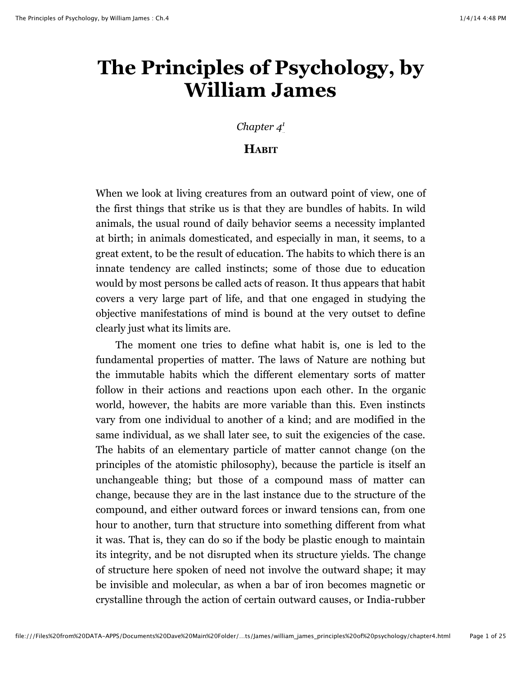## **The Principles of Psychology, by William James**

*Chapter 4[1](file:///Files%20from%20DATA-APPS/Documents%20Dave%20Main%20Folder/Philosophy/Philosophy%20Texts%20Bibliographies%20and%20Photos/Philosophy%20Texts/Philosophy%20Texts%20by%20Period%20and%20Figure/Classical%20Pragmatism/Classical%20Pragmatism%20Texts/James/william_james_principles%20of%20psychology/chapter4.html#fn136)*

## **HABIT**

When we look at living creatures from an outward point of view, one of the first things that strike us is that they are bundles of habits. In wild animals, the usual round of daily behavior seems a necessity implanted at birth; in animals domesticated, and especially in man, it seems, to a great extent, to be the result of education. The habits to which there is an innate tendency are called instincts; some of those due to education would by most persons be called acts of reason. It thus appears that habit covers a very large part of life, and that one engaged in studying the objective manifestations of mind is bound at the very outset to define clearly just what its limits are.

The moment one tries to define what habit is, one is led to the fundamental properties of matter. The laws of Nature are nothing but the immutable habits which the different elementary sorts of matter follow in their actions and reactions upon each other. In the organic world, however, the habits are more variable than this. Even instincts vary from one individual to another of a kind; and are modified in the same individual, as we shall later see, to suit the exigencies of the case. The habits of an elementary particle of matter cannot change (on the principles of the atomistic philosophy), because the particle is itself an unchangeable thing; but those of a compound mass of matter can change, because they are in the last instance due to the structure of the compound, and either outward forces or inward tensions can, from one hour to another, turn that structure into something different from what it was. That is, they can do so if the body be plastic enough to maintain its integrity, and be not disrupted when its structure yields. The change of structure here spoken of need not involve the outward shape; it may be invisible and molecular, as when a bar of iron becomes magnetic or crystalline through the action of certain outward causes, or India-rubber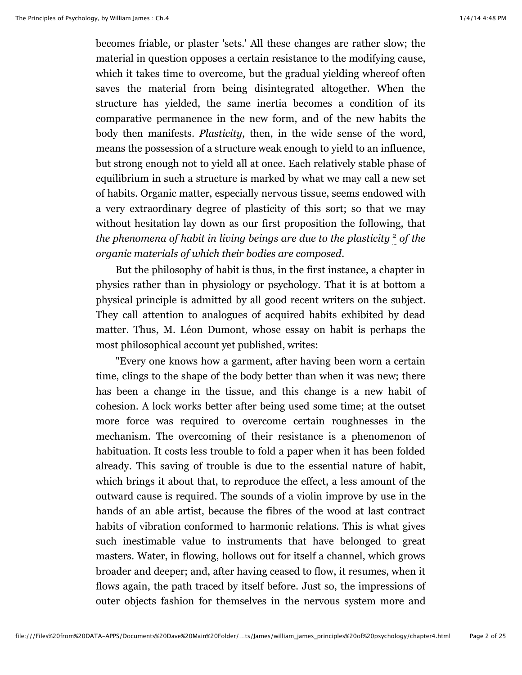becomes friable, or plaster 'sets.' All these changes are rather slow; the material in question opposes a certain resistance to the modifying cause, which it takes time to overcome, but the gradual yielding whereof often saves the material from being disintegrated altogether. When the structure has yielded, the same inertia becomes a condition of its comparative permanence in the new form, and of the new habits the body then manifests. *Plasticity*, then, in the wide sense of the word, means the possession of a structure weak enough to yield to an influence, but strong enough not to yield all at once. Each relatively stable phase of equilibrium in such a structure is marked by what we may call a new set of habits. Organic matter, especially nervous tissue, seems endowed with a very extraordinary degree of plasticity of this sort; so that we may without hesitation lay down as our first proposition the following, that *the phenomena of habit in living beings are due to the plasticity* <sup>[2](file:///Files%20from%20DATA-APPS/Documents%20Dave%20Main%20Folder/Philosophy/Philosophy%20Texts%20Bibliographies%20and%20Photos/Philosophy%20Texts/Philosophy%20Texts%20by%20Period%20and%20Figure/Classical%20Pragmatism/Classical%20Pragmatism%20Texts/James/william_james_principles%20of%20psychology/chapter4.html#fn137)</sup> *of the organic materials of which their bodies are composed*.

But the philosophy of habit is thus, in the first instance, a chapter in physics rather than in physiology or psychology. That it is at bottom a physical principle is admitted by all good recent writers on the subject. They call attention to analogues of acquired habits exhibited by dead matter. Thus, M. Léon Dumont, whose essay on habit is perhaps the most philosophical account yet published, writes:

"Every one knows how a garment, after having been worn a certain time, clings to the shape of the body better than when it was new; there has been a change in the tissue, and this change is a new habit of cohesion. A lock works better after being used some time; at the outset more force was required to overcome certain roughnesses in the mechanism. The overcoming of their resistance is a phenomenon of habituation. It costs less trouble to fold a paper when it has been folded already. This saving of trouble is due to the essential nature of habit, which brings it about that, to reproduce the effect, a less amount of the outward cause is required. The sounds of a violin improve by use in the hands of an able artist, because the fibres of the wood at last contract habits of vibration conformed to harmonic relations. This is what gives such inestimable value to instruments that have belonged to great masters. Water, in flowing, hollows out for itself a channel, which grows broader and deeper; and, after having ceased to flow, it resumes, when it flows again, the path traced by itself before. Just so, the impressions of outer objects fashion for themselves in the nervous system more and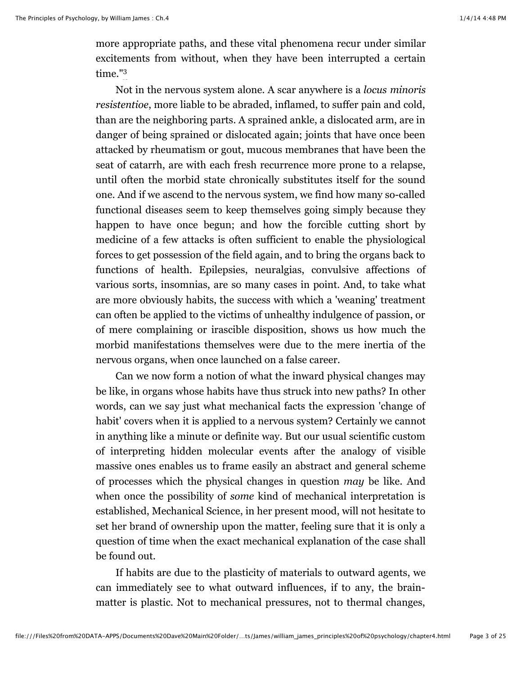more appropriate paths, and these vital phenomena recur under similar excitements from without, when they have been interrupted a certain time.["3](file:///Files%20from%20DATA-APPS/Documents%20Dave%20Main%20Folder/Philosophy/Philosophy%20Texts%20Bibliographies%20and%20Photos/Philosophy%20Texts/Philosophy%20Texts%20by%20Period%20and%20Figure/Classical%20Pragmatism/Classical%20Pragmatism%20Texts/James/william_james_principles%20of%20psychology/chapter4.html#fn138)

Not in the nervous system alone. A scar anywhere is a *locus minoris resistentioe*, more liable to be abraded, inflamed, to suffer pain and cold, than are the neighboring parts. A sprained ankle, a dislocated arm, are in danger of being sprained or dislocated again; joints that have once been attacked by rheumatism or gout, mucous membranes that have been the seat of catarrh, are with each fresh recurrence more prone to a relapse, until often the morbid state chronically substitutes itself for the sound one. And if we ascend to the nervous system, we find how many so-called functional diseases seem to keep themselves going simply because they happen to have once begun; and how the forcible cutting short by medicine of a few attacks is often sufficient to enable the physiological forces to get possession of the field again, and to bring the organs back to functions of health. Epilepsies, neuralgias, convulsive affections of various sorts, insomnias, are so many cases in point. And, to take what are more obviously habits, the success with which a 'weaning' treatment can often be applied to the victims of unhealthy indulgence of passion, or of mere complaining or irascible disposition, shows us how much the morbid manifestations themselves were due to the mere inertia of the nervous organs, when once launched on a false career.

Can we now form a notion of what the inward physical changes may be like, in organs whose habits have thus struck into new paths? In other words, can we say just what mechanical facts the expression 'change of habit' covers when it is applied to a nervous system? Certainly we cannot in anything like a minute or definite way. But our usual scientific custom of interpreting hidden molecular events after the analogy of visible massive ones enables us to frame easily an abstract and general scheme of processes which the physical changes in question *may* be like. And when once the possibility of *some* kind of mechanical interpretation is established, Mechanical Science, in her present mood, will not hesitate to set her brand of ownership upon the matter, feeling sure that it is only a question of time when the exact mechanical explanation of the case shall be found out.

If habits are due to the plasticity of materials to outward agents, we can immediately see to what outward influences, if to any, the brainmatter is plastic. Not to mechanical pressures, not to thermal changes,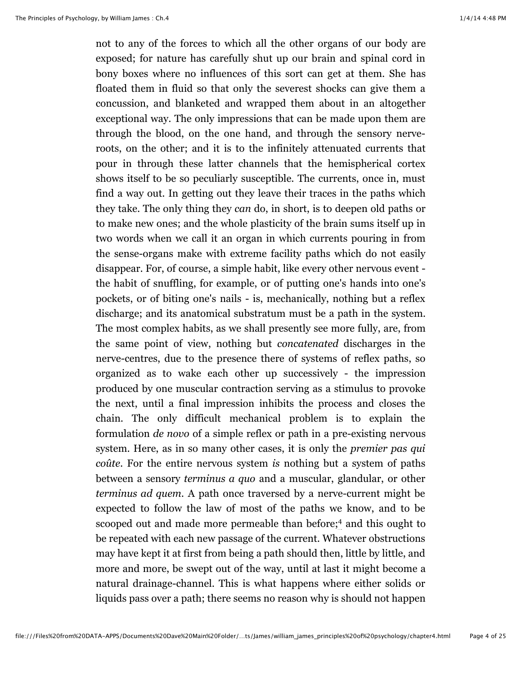not to any of the forces to which all the other organs of our body are exposed; for nature has carefully shut up our brain and spinal cord in bony boxes where no influences of this sort can get at them. She has floated them in fluid so that only the severest shocks can give them a concussion, and blanketed and wrapped them about in an altogether exceptional way. The only impressions that can be made upon them are through the blood, on the one hand, and through the sensory nerveroots, on the other; and it is to the infinitely attenuated currents that pour in through these latter channels that the hemispherical cortex shows itself to be so peculiarly susceptible. The currents, once in, must find a way out. In getting out they leave their traces in the paths which they take. The only thing they *can* do, in short, is to deepen old paths or to make new ones; and the whole plasticity of the brain sums itself up in two words when we call it an organ in which currents pouring in from the sense-organs make with extreme facility paths which do not easily disappear. For, of course, a simple habit, like every other nervous event the habit of snuffling, for example, or of putting one's hands into one's pockets, or of biting one's nails - is, mechanically, nothing but a reflex discharge; and its anatomical substratum must be a path in the system. The most complex habits, as we shall presently see more fully, are, from the same point of view, nothing but *concatenated* discharges in the nerve-centres, due to the presence there of systems of reflex paths, so organized as to wake each other up successively - the impression produced by one muscular contraction serving as a stimulus to provoke the next, until a final impression inhibits the process and closes the chain. The only difficult mechanical problem is to explain the formulation *de novo* of a simple reflex or path in a pre-existing nervous system. Here, as in so many other cases, it is only the *premier pas qui coûte*. For the entire nervous system *is* nothing but a system of paths between a sensory *terminus a quo* and a muscular, glandular, or other *terminus ad quem*. A path once traversed by a nerve-current might be expected to follow the law of most of the paths we know, and to be scooped out and made more permeable than before;<sup>4</sup> and this ought to be repeated with each new passage of the current. Whatever obstructions may have kept it at first from being a path should then, little by little, and more and more, be swept out of the way, until at last it might become a natural drainage-channel. This is what happens where either solids or liquids pass over a path; there seems no reason why is should not happen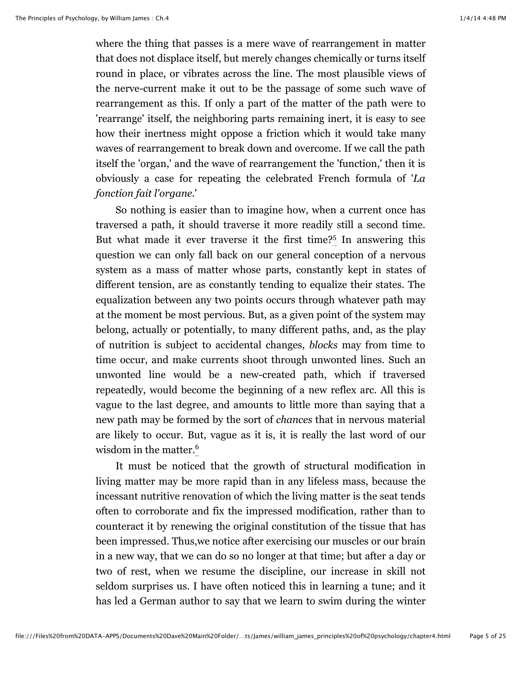where the thing that passes is a mere wave of rearrangement in matter that does not displace itself, but merely changes chemically or turns itself round in place, or vibrates across the line. The most plausible views of the nerve-current make it out to be the passage of some such wave of rearrangement as this. If only a part of the matter of the path were to 'rearrange' itself, the neighboring parts remaining inert, it is easy to see how their inertness might oppose a friction which it would take many waves of rearrangement to break down and overcome. If we call the path itself the 'organ,' and the wave of rearrangement the 'function,' then it is obviously a case for repeating the celebrated French formula of '*La fonction fait l'organe.*'

So nothing is easier than to imagine how, when a current once has traversed a path, it should traverse it more readily still a second time. But what made it ever traverse it the first time?<sup>5</sup> In answering this question we can only fall back on our general conception of a nervous system as a mass of matter whose parts, constantly kept in states of different tension, are as constantly tending to equalize their states. The equalization between any two points occurs through whatever path may at the moment be most pervious. But, as a given point of the system may belong, actually or potentially, to many different paths, and, as the play of nutrition is subject to accidental changes, *blocks* may from time to time occur, and make currents shoot through unwonted lines. Such an unwonted line would be a new-created path, which if traversed repeatedly, would become the beginning of a new reflex arc. All this is vague to the last degree, and amounts to little more than saying that a new path may be formed by the sort of *chances* that in nervous material are likely to occur. But, vague as it is, it is really the last word of our wisdom in the matter.<sup>6</sup>

It must be noticed that the growth of structural modification in living matter may be more rapid than in any lifeless mass, because the incessant nutritive renovation of which the living matter is the seat tends often to corroborate and fix the impressed modification, rather than to counteract it by renewing the original constitution of the tissue that has been impressed. Thus,we notice after exercising our muscles or our brain in a new way, that we can do so no longer at that time; but after a day or two of rest, when we resume the discipline, our increase in skill not seldom surprises us. I have often noticed this in learning a tune; and it has led a German author to say that we learn to swim during the winter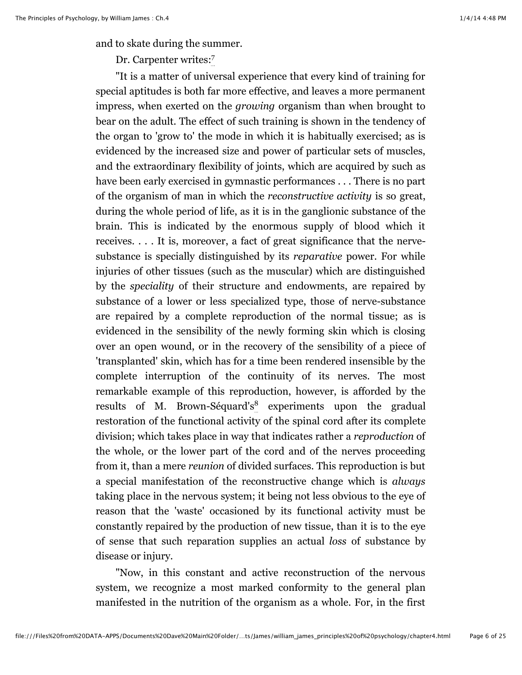and to skate during the summer.

Dr. Carpenter writes:[7](file:///Files%20from%20DATA-APPS/Documents%20Dave%20Main%20Folder/Philosophy/Philosophy%20Texts%20Bibliographies%20and%20Photos/Philosophy%20Texts/Philosophy%20Texts%20by%20Period%20and%20Figure/Classical%20Pragmatism/Classical%20Pragmatism%20Texts/James/william_james_principles%20of%20psychology/chapter4.html#fn142)

"It is a matter of universal experience that every kind of training for special aptitudes is both far more effective, and leaves a more permanent impress, when exerted on the *growing* organism than when brought to bear on the adult. The effect of such training is shown in the tendency of the organ to 'grow to' the mode in which it is habitually exercised; as is evidenced by the increased size and power of particular sets of muscles, and the extraordinary flexibility of joints, which are acquired by such as have been early exercised in gymnastic performances . . . There is no part of the organism of man in which the *reconstructive activity* is so great, during the whole period of life, as it is in the ganglionic substance of the brain. This is indicated by the enormous supply of blood which it receives. . . . It is, moreover, a fact of great significance that the nervesubstance is specially distinguished by its *reparative* power. For while injuries of other tissues (such as the muscular) which are distinguished by the *speciality* of their structure and endowments, are repaired by substance of a lower or less specialized type, those of nerve-substance are repaired by a complete reproduction of the normal tissue; as is evidenced in the sensibility of the newly forming skin which is closing over an open wound, or in the recovery of the sensibility of a piece of 'transplanted' skin, which has for a time been rendered insensible by the complete interruption of the continuity of its nerves. The most remarkable example of this reproduction, however, is afforded by the results of M. Brown-Séquard's<sup>[8](file:///Files%20from%20DATA-APPS/Documents%20Dave%20Main%20Folder/Philosophy/Philosophy%20Texts%20Bibliographies%20and%20Photos/Philosophy%20Texts/Philosophy%20Texts%20by%20Period%20and%20Figure/Classical%20Pragmatism/Classical%20Pragmatism%20Texts/James/william_james_principles%20of%20psychology/chapter4.html#fn143)</sup> experiments upon the gradual restoration of the functional activity of the spinal cord after its complete division; which takes place in way that indicates rather a *reproduction* of the whole, or the lower part of the cord and of the nerves proceeding from it, than a mere *reunion* of divided surfaces. This reproduction is but a special manifestation of the reconstructive change which is *always* taking place in the nervous system; it being not less obvious to the eye of reason that the 'waste' occasioned by its functional activity must be constantly repaired by the production of new tissue, than it is to the eye of sense that such reparation supplies an actual *loss* of substance by disease or injury.

"Now, in this constant and active reconstruction of the nervous system, we recognize a most marked conformity to the general plan manifested in the nutrition of the organism as a whole. For, in the first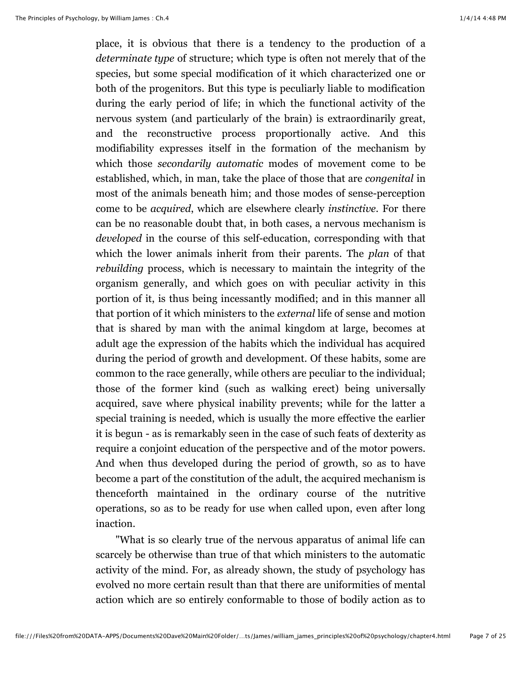place, it is obvious that there is a tendency to the production of a *determinate type* of structure; which type is often not merely that of the species, but some special modification of it which characterized one or both of the progenitors. But this type is peculiarly liable to modification during the early period of life; in which the functional activity of the nervous system (and particularly of the brain) is extraordinarily great, and the reconstructive process proportionally active. And this modifiability expresses itself in the formation of the mechanism by which those *secondarily automatic* modes of movement come to be established, which, in man, take the place of those that are *congenital* in most of the animals beneath him; and those modes of sense-perception come to be *acquired*, which are elsewhere clearly *instinctive*. For there can be no reasonable doubt that, in both cases, a nervous mechanism is *developed* in the course of this self-education, corresponding with that which the lower animals inherit from their parents. The *plan* of that *rebuilding* process, which is necessary to maintain the integrity of the organism generally, and which goes on with peculiar activity in this portion of it, is thus being incessantly modified; and in this manner all that portion of it which ministers to the *external* life of sense and motion that is shared by man with the animal kingdom at large, becomes at adult age the expression of the habits which the individual has acquired during the period of growth and development. Of these habits, some are common to the race generally, while others are peculiar to the individual; those of the former kind (such as walking erect) being universally acquired, save where physical inability prevents; while for the latter a special training is needed, which is usually the more effective the earlier it is begun - as is remarkably seen in the case of such feats of dexterity as require a conjoint education of the perspective and of the motor powers. And when thus developed during the period of growth, so as to have become a part of the constitution of the adult, the acquired mechanism is thenceforth maintained in the ordinary course of the nutritive operations, so as to be ready for use when called upon, even after long inaction.

"What is so clearly true of the nervous apparatus of animal life can scarcely be otherwise than true of that which ministers to the automatic activity of the mind. For, as already shown, the study of psychology has evolved no more certain result than that there are uniformities of mental action which are so entirely conformable to those of bodily action as to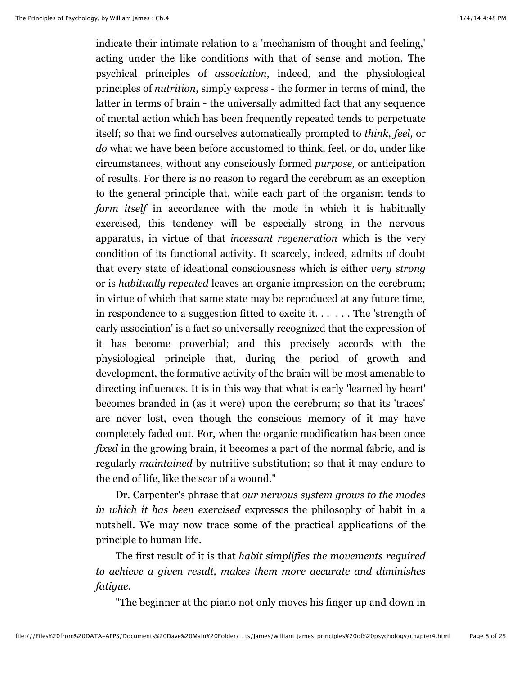indicate their intimate relation to a 'mechanism of thought and feeling,' acting under the like conditions with that of sense and motion. The psychical principles of *association*, indeed, and the physiological principles of *nutrition*, simply express - the former in terms of mind, the latter in terms of brain - the universally admitted fact that any sequence of mental action which has been frequently repeated tends to perpetuate itself; so that we find ourselves automatically prompted to *think*, *feel*, or *do* what we have been before accustomed to think, feel, or do, under like circumstances, without any consciously formed *purpose*, or anticipation of results. For there is no reason to regard the cerebrum as an exception to the general principle that, while each part of the organism tends to *form itself* in accordance with the mode in which it is habitually exercised, this tendency will be especially strong in the nervous apparatus, in virtue of that *incessant regeneration* which is the very condition of its functional activity. It scarcely, indeed, admits of doubt that every state of ideational consciousness which is either *very strong* or is *habitually repeated* leaves an organic impression on the cerebrum; in virtue of which that same state may be reproduced at any future time, in respondence to a suggestion fitted to excite it.  $\dots$  . The 'strength of early association' is a fact so universally recognized that the expression of it has become proverbial; and this precisely accords with the physiological principle that, during the period of growth and development, the formative activity of the brain will be most amenable to directing influences. It is in this way that what is early 'learned by heart' becomes branded in (as it were) upon the cerebrum; so that its 'traces' are never lost, even though the conscious memory of it may have completely faded out. For, when the organic modification has been once *fixed* in the growing brain, it becomes a part of the normal fabric, and is regularly *maintained* by nutritive substitution; so that it may endure to the end of life, like the scar of a wound."

Dr. Carpenter's phrase that *our nervous system grows to the modes in which it has been exercised* expresses the philosophy of habit in a nutshell. We may now trace some of the practical applications of the principle to human life.

The first result of it is that *habit simplifies the movements required to achieve a given result, makes them more accurate and diminishes fatigue*.

"The beginner at the piano not only moves his finger up and down in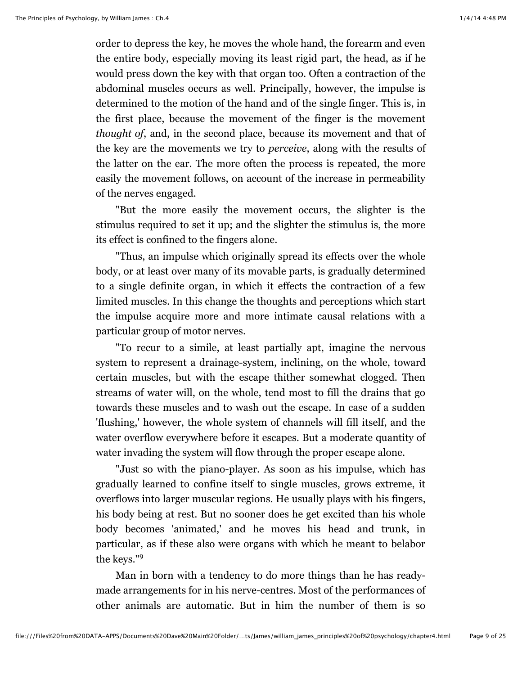order to depress the key, he moves the whole hand, the forearm and even the entire body, especially moving its least rigid part, the head, as if he would press down the key with that organ too. Often a contraction of the abdominal muscles occurs as well. Principally, however, the impulse is determined to the motion of the hand and of the single finger. This is, in the first place, because the movement of the finger is the movement *thought of*, and, in the second place, because its movement and that of the key are the movements we try to *perceive*, along with the results of the latter on the ear. The more often the process is repeated, the more easily the movement follows, on account of the increase in permeability of the nerves engaged.

"But the more easily the movement occurs, the slighter is the stimulus required to set it up; and the slighter the stimulus is, the more its effect is confined to the fingers alone.

"Thus, an impulse which originally spread its effects over the whole body, or at least over many of its movable parts, is gradually determined to a single definite organ, in which it effects the contraction of a few limited muscles. In this change the thoughts and perceptions which start the impulse acquire more and more intimate causal relations with a particular group of motor nerves.

"To recur to a simile, at least partially apt, imagine the nervous system to represent a drainage-system, inclining, on the whole, toward certain muscles, but with the escape thither somewhat clogged. Then streams of water will, on the whole, tend most to fill the drains that go towards these muscles and to wash out the escape. In case of a sudden 'flushing,' however, the whole system of channels will fill itself, and the water overflow everywhere before it escapes. But a moderate quantity of water invading the system will flow through the proper escape alone.

"Just so with the piano-player. As soon as his impulse, which has gradually learned to confine itself to single muscles, grows extreme, it overflows into larger muscular regions. He usually plays with his fingers, his body being at rest. But no sooner does he get excited than his whole body becomes 'animated,' and he moves his head and trunk, in particular, as if these also were organs with which he meant to belabor the keys."[9](file:///Files%20from%20DATA-APPS/Documents%20Dave%20Main%20Folder/Philosophy/Philosophy%20Texts%20Bibliographies%20and%20Photos/Philosophy%20Texts/Philosophy%20Texts%20by%20Period%20and%20Figure/Classical%20Pragmatism/Classical%20Pragmatism%20Texts/James/william_james_principles%20of%20psychology/chapter4.html#fn144)

Man in born with a tendency to do more things than he has readymade arrangements for in his nerve-centres. Most of the performances of other animals are automatic. But in him the number of them is so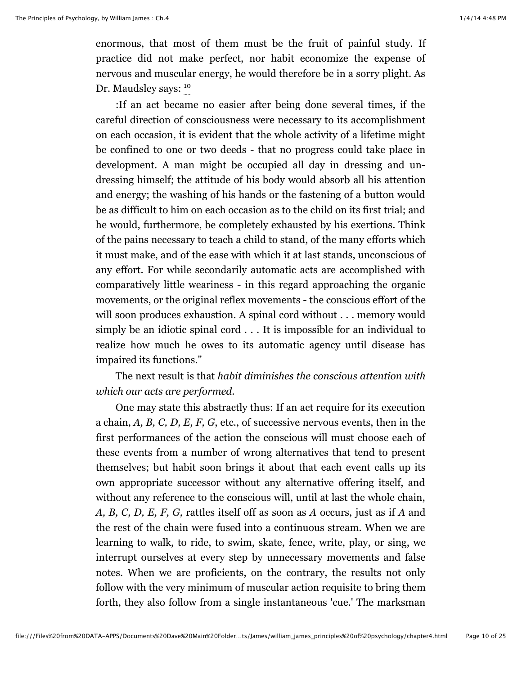enormous, that most of them must be the fruit of painful study. If practice did not make perfect, nor habit economize the expense of nervous and muscular energy, he would therefore be in a sorry plight. As Dr. Maudsley says: [10](file:///Files%20from%20DATA-APPS/Documents%20Dave%20Main%20Folder/Philosophy/Philosophy%20Texts%20Bibliographies%20and%20Photos/Philosophy%20Texts/Philosophy%20Texts%20by%20Period%20and%20Figure/Classical%20Pragmatism/Classical%20Pragmatism%20Texts/James/william_james_principles%20of%20psychology/chapter4.html#fn145)

:If an act became no easier after being done several times, if the careful direction of consciousness were necessary to its accomplishment on each occasion, it is evident that the whole activity of a lifetime might be confined to one or two deeds - that no progress could take place in development. A man might be occupied all day in dressing and undressing himself; the attitude of his body would absorb all his attention and energy; the washing of his hands or the fastening of a button would be as difficult to him on each occasion as to the child on its first trial; and he would, furthermore, be completely exhausted by his exertions. Think of the pains necessary to teach a child to stand, of the many efforts which it must make, and of the ease with which it at last stands, unconscious of any effort. For while secondarily automatic acts are accomplished with comparatively little weariness - in this regard approaching the organic movements, or the original reflex movements - the conscious effort of the will soon produces exhaustion. A spinal cord without . . . memory would simply be an idiotic spinal cord . . . It is impossible for an individual to realize how much he owes to its automatic agency until disease has impaired its functions."

## The next result is that *habit diminishes the conscious attention with which our acts are performed*.

One may state this abstractly thus: If an act require for its execution a chain, *A, B, C, D, E, F, G*, etc., of successive nervous events, then in the first performances of the action the conscious will must choose each of these events from a number of wrong alternatives that tend to present themselves; but habit soon brings it about that each event calls up its own appropriate successor without any alternative offering itself, and without any reference to the conscious will, until at last the whole chain, *A, B, C, D, E, F, G,* rattles itself off as soon as *A* occurs, just as if *A* and the rest of the chain were fused into a continuous stream. When we are learning to walk, to ride, to swim, skate, fence, write, play, or sing, we interrupt ourselves at every step by unnecessary movements and false notes. When we are proficients, on the contrary, the results not only follow with the very minimum of muscular action requisite to bring them forth, they also follow from a single instantaneous 'cue.' The marksman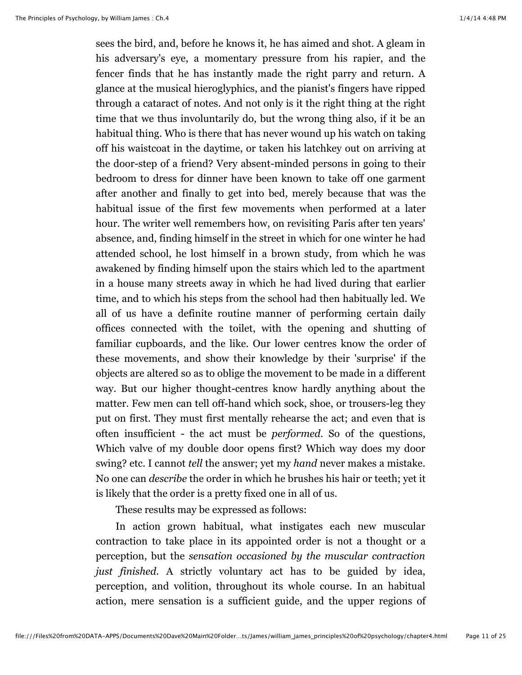sees the bird, and, before he knows it, he has aimed and shot. A gleam in his adversary's eye, a momentary pressure from his rapier, and the fencer finds that he has instantly made the right parry and return. A glance at the musical hieroglyphics, and the pianist's fingers have ripped through a cataract of notes. And not only is it the right thing at the right time that we thus involuntarily do, but the wrong thing also, if it be an habitual thing. Who is there that has never wound up his watch on taking off his waistcoat in the daytime, or taken his latchkey out on arriving at the door-step of a friend? Very absent-minded persons in going to their bedroom to dress for dinner have been known to take off one garment after another and finally to get into bed, merely because that was the habitual issue of the first few movements when performed at a later hour. The writer well remembers how, on revisiting Paris after ten years' absence, and, finding himself in the street in which for one winter he had attended school, he lost himself in a brown study, from which he was awakened by finding himself upon the stairs which led to the apartment in a house many streets away in which he had lived during that earlier time, and to which his steps from the school had then habitually led. We all of us have a definite routine manner of performing certain daily offices connected with the toilet, with the opening and shutting of familiar cupboards, and the like. Our lower centres know the order of these movements, and show their knowledge by their 'surprise' if the objects are altered so as to oblige the movement to be made in a different way. But our higher thought-centres know hardly anything about the matter. Few men can tell off-hand which sock, shoe, or trousers-leg they put on first. They must first mentally rehearse the act; and even that is often insufficient - the act must be *performed*. So of the questions, Which valve of my double door opens first? Which way does my door swing? etc. I cannot *tell* the answer; yet my *hand* never makes a mistake. No one can *describe* the order in which he brushes his hair or teeth; yet it is likely that the order is a pretty fixed one in all of us.

These results may be expressed as follows:

In action grown habitual, what instigates each new muscular contraction to take place in its appointed order is not a thought or a perception, but the *sensation occasioned by the muscular contraction just finished*. A strictly voluntary act has to be guided by idea, perception, and volition, throughout its whole course. In an habitual action, mere sensation is a sufficient guide, and the upper regions of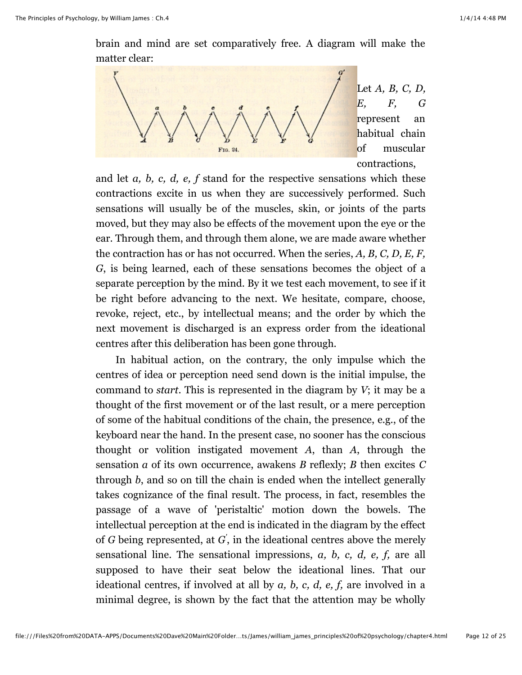brain and mind are set comparatively free. A diagram will make the matter clear:



and let *a, b, c, d, e, f* stand for the respective sensations which these contractions excite in us when they are successively performed. Such sensations will usually be of the muscles, skin, or joints of the parts moved, but they may also be effects of the movement upon the eye or the ear. Through them, and through them alone, we are made aware whether the contraction has or has not occurred. When the series, *A, B, C, D, E, F, G*, is being learned, each of these sensations becomes the object of a separate perception by the mind. By it we test each movement, to see if it be right before advancing to the next. We hesitate, compare, choose, revoke, reject, etc., by intellectual means; and the order by which the next movement is discharged is an express order from the ideational centres after this deliberation has been gone through.

In habitual action, on the contrary, the only impulse which the centres of idea or perception need send down is the initial impulse, the command to *start*. This is represented in the diagram by *V*; it may be a thought of the first movement or of the last result, or a mere perception of some of the habitual conditions of the chain, the presence, e.g., of the keyboard near the hand. In the present case, no sooner has the conscious thought or volition instigated movement *A*, than *A*, through the sensation *a* of its own occurrence, awakens *B* reflexly; *B* then excites *C* through *b*, and so on till the chain is ended when the intellect generally takes cognizance of the final result. The process, in fact, resembles the passage of a wave of 'peristaltic' motion down the bowels. The intellectual perception at the end is indicated in the diagram by the effect of *G* being represented, at *G'* , in the ideational centres above the merely sensational line. The sensational impressions, *a, b, c, d, e, f,* are all supposed to have their seat below the ideational lines. That our ideational centres, if involved at all by *a, b, c, d, e, f,* are involved in a minimal degree, is shown by the fact that the attention may be wholly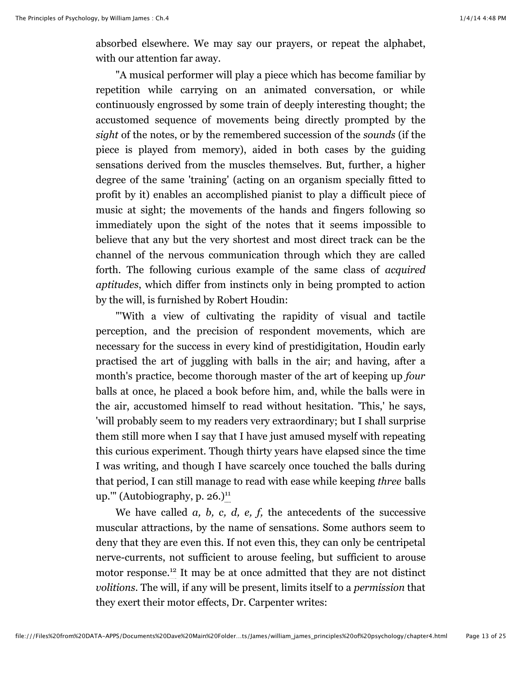absorbed elsewhere. We may say our prayers, or repeat the alphabet, with our attention far away.

"A musical performer will play a piece which has become familiar by repetition while carrying on an animated conversation, or while continuously engrossed by some train of deeply interesting thought; the accustomed sequence of movements being directly prompted by the *sight* of the notes, or by the remembered succession of the *sounds* (if the piece is played from memory), aided in both cases by the guiding sensations derived from the muscles themselves. But, further, a higher degree of the same 'training' (acting on an organism specially fitted to profit by it) enables an accomplished pianist to play a difficult piece of music at sight; the movements of the hands and fingers following so immediately upon the sight of the notes that it seems impossible to believe that any but the very shortest and most direct track can be the channel of the nervous communication through which they are called forth. The following curious example of the same class of *acquired aptitudes*, which differ from instincts only in being prompted to action by the will, is furnished by Robert Houdin:

"'With a view of cultivating the rapidity of visual and tactile perception, and the precision of respondent movements, which are necessary for the success in every kind of prestidigitation, Houdin early practised the art of juggling with balls in the air; and having, after a month's practice, become thorough master of the art of keeping up *four* balls at once, he placed a book before him, and, while the balls were in the air, accustomed himself to read without hesitation. 'This,' he says, 'will probably seem to my readers very extraordinary; but I shall surprise them still more when I say that I have just amused myself with repeating this curious experiment. Though thirty years have elapsed since the time I was writing, and though I have scarcely once touched the balls during that period, I can still manage to read with ease while keeping *three* balls up."" (Autobiography, p. 26.) $11$ 

We have called *a, b, c, d, e, f, the antecedents of the successive* muscular attractions, by the name of sensations. Some authors seem to deny that they are even this. If not even this, they can only be centripetal nerve-currents, not sufficient to arouse feeling, but sufficient to arouse motor response[.12](file:///Files%20from%20DATA-APPS/Documents%20Dave%20Main%20Folder/Philosophy/Philosophy%20Texts%20Bibliographies%20and%20Photos/Philosophy%20Texts/Philosophy%20Texts%20by%20Period%20and%20Figure/Classical%20Pragmatism/Classical%20Pragmatism%20Texts/James/william_james_principles%20of%20psychology/chapter4.html#fn147) It may be at once admitted that they are not distinct *volitions*. The will, if any will be present, limits itself to a *permission* that they exert their motor effects, Dr. Carpenter writes: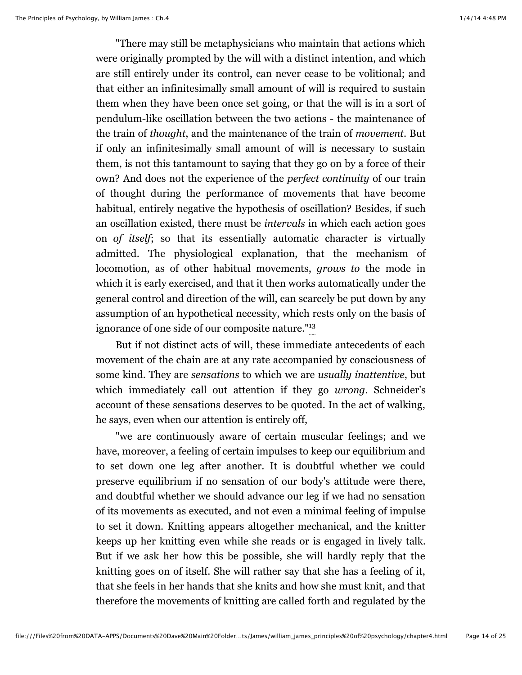"There may still be metaphysicians who maintain that actions which were originally prompted by the will with a distinct intention, and which are still entirely under its control, can never cease to be volitional; and that either an infinitesimally small amount of will is required to sustain them when they have been once set going, or that the will is in a sort of pendulum-like oscillation between the two actions - the maintenance of the train of *thought*, and the maintenance of the train of *movement*. But if only an infinitesimally small amount of will is necessary to sustain them, is not this tantamount to saying that they go on by a force of their own? And does not the experience of the *perfect continuity* of our train of thought during the performance of movements that have become habitual, entirely negative the hypothesis of oscillation? Besides, if such an oscillation existed, there must be *intervals* in which each action goes on *of itself*; so that its essentially automatic character is virtually admitted. The physiological explanation, that the mechanism of locomotion, as of other habitual movements, *grows to* the mode in which it is early exercised, and that it then works automatically under the general control and direction of the will, can scarcely be put down by any assumption of an hypothetical necessity, which rests only on the basis of ignorance of one side of our composite nature.["13](file:///Files%20from%20DATA-APPS/Documents%20Dave%20Main%20Folder/Philosophy/Philosophy%20Texts%20Bibliographies%20and%20Photos/Philosophy%20Texts/Philosophy%20Texts%20by%20Period%20and%20Figure/Classical%20Pragmatism/Classical%20Pragmatism%20Texts/James/william_james_principles%20of%20psychology/chapter4.html#fn148)

But if not distinct acts of will, these immediate antecedents of each movement of the chain are at any rate accompanied by consciousness of some kind. They are *sensations* to which we are *usually inattentive*, but which immediately call out attention if they go *wrong*. Schneider's account of these sensations deserves to be quoted. In the act of walking, he says, even when our attention is entirely off,

"we are continuously aware of certain muscular feelings; and we have, moreover, a feeling of certain impulses to keep our equilibrium and to set down one leg after another. It is doubtful whether we could preserve equilibrium if no sensation of our body's attitude were there, and doubtful whether we should advance our leg if we had no sensation of its movements as executed, and not even a minimal feeling of impulse to set it down. Knitting appears altogether mechanical, and the knitter keeps up her knitting even while she reads or is engaged in lively talk. But if we ask her how this be possible, she will hardly reply that the knitting goes on of itself. She will rather say that she has a feeling of it, that she feels in her hands that she knits and how she must knit, and that therefore the movements of knitting are called forth and regulated by the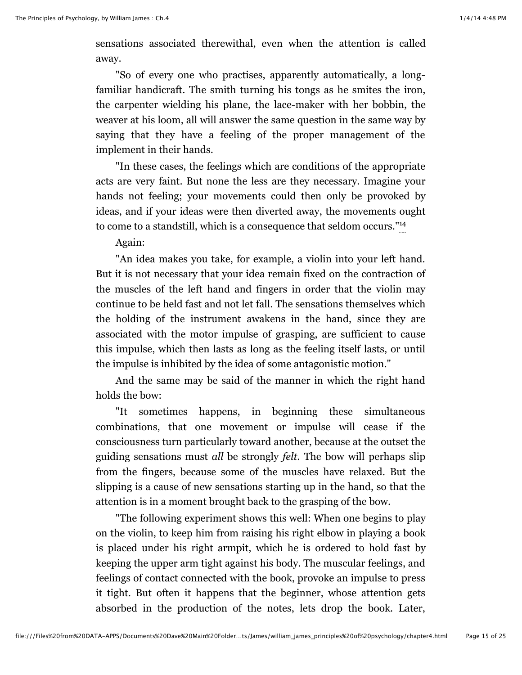sensations associated therewithal, even when the attention is called away.

"So of every one who practises, apparently automatically, a longfamiliar handicraft. The smith turning his tongs as he smites the iron, the carpenter wielding his plane, the lace-maker with her bobbin, the weaver at his loom, all will answer the same question in the same way by saying that they have a feeling of the proper management of the implement in their hands.

"In these cases, the feelings which are conditions of the appropriate acts are very faint. But none the less are they necessary. Imagine your hands not feeling; your movements could then only be provoked by ideas, and if your ideas were then diverted away, the movements ought to come to a standstill, which is a consequence that seldom occurs.["14](file:///Files%20from%20DATA-APPS/Documents%20Dave%20Main%20Folder/Philosophy/Philosophy%20Texts%20Bibliographies%20and%20Photos/Philosophy%20Texts/Philosophy%20Texts%20by%20Period%20and%20Figure/Classical%20Pragmatism/Classical%20Pragmatism%20Texts/James/william_james_principles%20of%20psychology/chapter4.html#fn149)

Again:

"An idea makes you take, for example, a violin into your left hand. But it is not necessary that your idea remain fixed on the contraction of the muscles of the left hand and fingers in order that the violin may continue to be held fast and not let fall. The sensations themselves which the holding of the instrument awakens in the hand, since they are associated with the motor impulse of grasping, are sufficient to cause this impulse, which then lasts as long as the feeling itself lasts, or until the impulse is inhibited by the idea of some antagonistic motion."

And the same may be said of the manner in which the right hand holds the bow:

"It sometimes happens, in beginning these simultaneous combinations, that one movement or impulse will cease if the consciousness turn particularly toward another, because at the outset the guiding sensations must *all* be strongly *felt*. The bow will perhaps slip from the fingers, because some of the muscles have relaxed. But the slipping is a cause of new sensations starting up in the hand, so that the attention is in a moment brought back to the grasping of the bow.

"The following experiment shows this well: When one begins to play on the violin, to keep him from raising his right elbow in playing a book is placed under his right armpit, which he is ordered to hold fast by keeping the upper arm tight against his body. The muscular feelings, and feelings of contact connected with the book, provoke an impulse to press it tight. But often it happens that the beginner, whose attention gets absorbed in the production of the notes, lets drop the book. Later,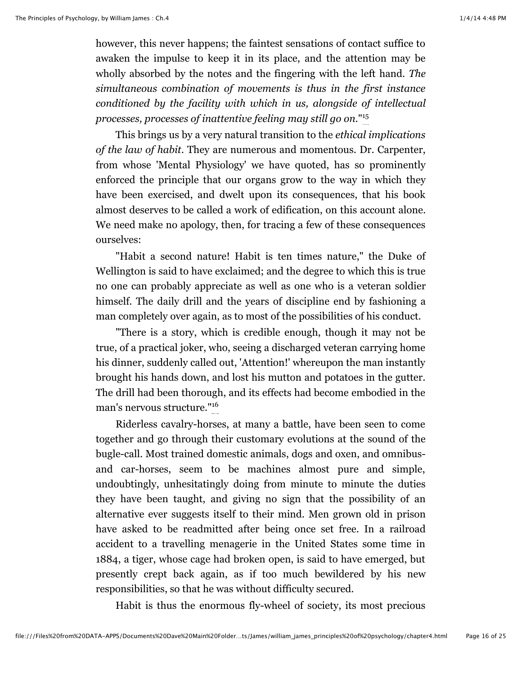however, this never happens; the faintest sensations of contact suffice to awaken the impulse to keep it in its place, and the attention may be wholly absorbed by the notes and the fingering with the left hand. *The simultaneous combination of movements is thus in the first instance conditioned by the facility with which in us, alongside of intellectual processes, processes of inattentive feeling may still go on*.["15](file:///Files%20from%20DATA-APPS/Documents%20Dave%20Main%20Folder/Philosophy/Philosophy%20Texts%20Bibliographies%20and%20Photos/Philosophy%20Texts/Philosophy%20Texts%20by%20Period%20and%20Figure/Classical%20Pragmatism/Classical%20Pragmatism%20Texts/James/william_james_principles%20of%20psychology/chapter4.html#fn150)

This brings us by a very natural transition to the *ethical implications of the law of habit*. They are numerous and momentous. Dr. Carpenter, from whose 'Mental Physiology' we have quoted, has so prominently enforced the principle that our organs grow to the way in which they have been exercised, and dwelt upon its consequences, that his book almost deserves to be called a work of edification, on this account alone. We need make no apology, then, for tracing a few of these consequences ourselves:

"Habit a second nature! Habit is ten times nature," the Duke of Wellington is said to have exclaimed; and the degree to which this is true no one can probably appreciate as well as one who is a veteran soldier himself. The daily drill and the years of discipline end by fashioning a man completely over again, as to most of the possibilities of his conduct.

"There is a story, which is credible enough, though it may not be true, of a practical joker, who, seeing a discharged veteran carrying home his dinner, suddenly called out, 'Attention!' whereupon the man instantly brought his hands down, and lost his mutton and potatoes in the gutter. The drill had been thorough, and its effects had become embodied in the man's nervous structure."[16](file:///Files%20from%20DATA-APPS/Documents%20Dave%20Main%20Folder/Philosophy/Philosophy%20Texts%20Bibliographies%20and%20Photos/Philosophy%20Texts/Philosophy%20Texts%20by%20Period%20and%20Figure/Classical%20Pragmatism/Classical%20Pragmatism%20Texts/James/william_james_principles%20of%20psychology/chapter4.html#fn151)

Riderless cavalry-horses, at many a battle, have been seen to come together and go through their customary evolutions at the sound of the bugle-call. Most trained domestic animals, dogs and oxen, and omnibusand car-horses, seem to be machines almost pure and simple, undoubtingly, unhesitatingly doing from minute to minute the duties they have been taught, and giving no sign that the possibility of an alternative ever suggests itself to their mind. Men grown old in prison have asked to be readmitted after being once set free. In a railroad accident to a travelling menagerie in the United States some time in 1884, a tiger, whose cage had broken open, is said to have emerged, but presently crept back again, as if too much bewildered by his new responsibilities, so that he was without difficulty secured.

Habit is thus the enormous fly-wheel of society, its most precious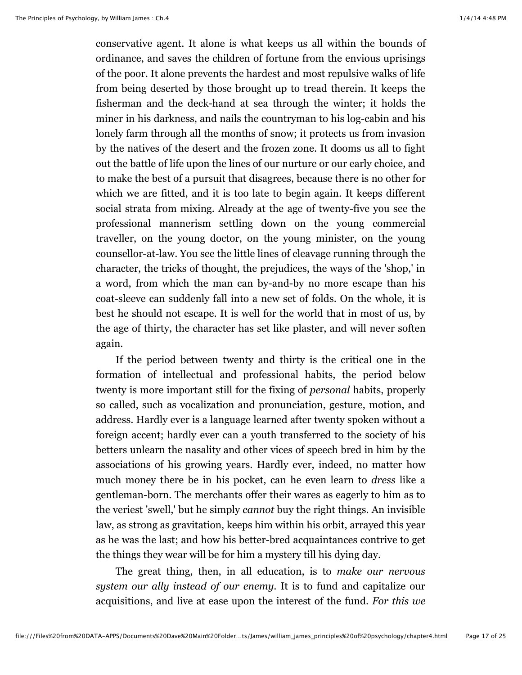conservative agent. It alone is what keeps us all within the bounds of ordinance, and saves the children of fortune from the envious uprisings of the poor. It alone prevents the hardest and most repulsive walks of life from being deserted by those brought up to tread therein. It keeps the fisherman and the deck-hand at sea through the winter; it holds the miner in his darkness, and nails the countryman to his log-cabin and his lonely farm through all the months of snow; it protects us from invasion by the natives of the desert and the frozen zone. It dooms us all to fight out the battle of life upon the lines of our nurture or our early choice, and to make the best of a pursuit that disagrees, because there is no other for which we are fitted, and it is too late to begin again. It keeps different social strata from mixing. Already at the age of twenty-five you see the professional mannerism settling down on the young commercial traveller, on the young doctor, on the young minister, on the young counsellor-at-law. You see the little lines of cleavage running through the character, the tricks of thought, the prejudices, the ways of the 'shop,' in a word, from which the man can by-and-by no more escape than his coat-sleeve can suddenly fall into a new set of folds. On the whole, it is best he should not escape. It is well for the world that in most of us, by the age of thirty, the character has set like plaster, and will never soften again.

If the period between twenty and thirty is the critical one in the formation of intellectual and professional habits, the period below twenty is more important still for the fixing of *personal* habits, properly so called, such as vocalization and pronunciation, gesture, motion, and address. Hardly ever is a language learned after twenty spoken without a foreign accent; hardly ever can a youth transferred to the society of his betters unlearn the nasality and other vices of speech bred in him by the associations of his growing years. Hardly ever, indeed, no matter how much money there be in his pocket, can he even learn to *dress* like a gentleman-born. The merchants offer their wares as eagerly to him as to the veriest 'swell,' but he simply *cannot* buy the right things. An invisible law, as strong as gravitation, keeps him within his orbit, arrayed this year as he was the last; and how his better-bred acquaintances contrive to get the things they wear will be for him a mystery till his dying day.

The great thing, then, in all education, is to *make our nervous system our ally instead of our enemy*. It is to fund and capitalize our acquisitions, and live at ease upon the interest of the fund. *For this we*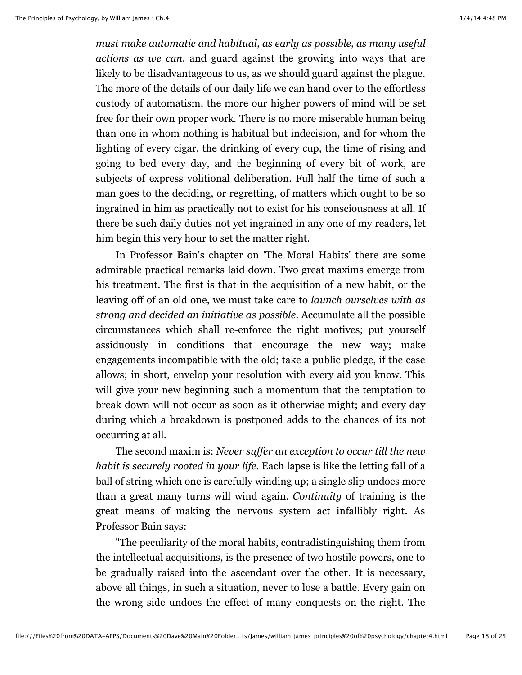*must make automatic and habitual, as early as possible, as many useful actions as we can*, and guard against the growing into ways that are likely to be disadvantageous to us, as we should guard against the plague. The more of the details of our daily life we can hand over to the effortless custody of automatism, the more our higher powers of mind will be set free for their own proper work. There is no more miserable human being than one in whom nothing is habitual but indecision, and for whom the lighting of every cigar, the drinking of every cup, the time of rising and going to bed every day, and the beginning of every bit of work, are subjects of express volitional deliberation. Full half the time of such a man goes to the deciding, or regretting, of matters which ought to be so ingrained in him as practically not to exist for his consciousness at all. If there be such daily duties not yet ingrained in any one of my readers, let him begin this very hour to set the matter right.

In Professor Bain's chapter on 'The Moral Habits' there are some admirable practical remarks laid down. Two great maxims emerge from his treatment. The first is that in the acquisition of a new habit, or the leaving off of an old one, we must take care to *launch ourselves with as strong and decided an initiative as possible*. Accumulate all the possible circumstances which shall re-enforce the right motives; put yourself assiduously in conditions that encourage the new way; make engagements incompatible with the old; take a public pledge, if the case allows; in short, envelop your resolution with every aid you know. This will give your new beginning such a momentum that the temptation to break down will not occur as soon as it otherwise might; and every day during which a breakdown is postponed adds to the chances of its not occurring at all.

The second maxim is: *Never suffer an exception to occur till the new habit is securely rooted in your life*. Each lapse is like the letting fall of a ball of string which one is carefully winding up; a single slip undoes more than a great many turns will wind again. *Continuity* of training is the great means of making the nervous system act infallibly right. As Professor Bain says:

"The peculiarity of the moral habits, contradistinguishing them from the intellectual acquisitions, is the presence of two hostile powers, one to be gradually raised into the ascendant over the other. It is necessary, above all things, in such a situation, never to lose a battle. Every gain on the wrong side undoes the effect of many conquests on the right. The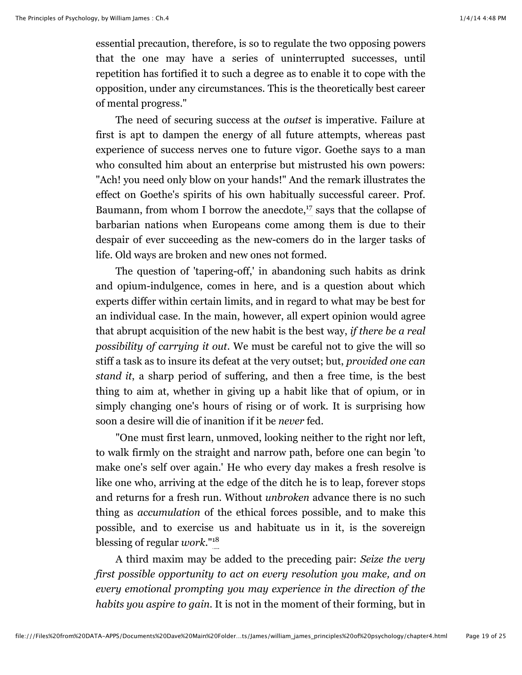essential precaution, therefore, is so to regulate the two opposing powers that the one may have a series of uninterrupted successes, until repetition has fortified it to such a degree as to enable it to cope with the opposition, under any circumstances. This is the theoretically best career of mental progress."

The need of securing success at the *outset* is imperative. Failure at first is apt to dampen the energy of all future attempts, whereas past experience of success nerves one to future vigor. Goethe says to a man who consulted him about an enterprise but mistrusted his own powers: "Ach! you need only blow on your hands!" And the remark illustrates the effect on Goethe's spirits of his own habitually successful career. Prof. Baumann, from whom I borrow the anecdote, $\frac{17}{12}$  says that the collapse of barbarian nations when Europeans come among them is due to their despair of ever succeeding as the new-comers do in the larger tasks of life. Old ways are broken and new ones not formed.

The question of 'tapering-off,' in abandoning such habits as drink and opium-indulgence, comes in here, and is a question about which experts differ within certain limits, and in regard to what may be best for an individual case. In the main, however, all expert opinion would agree that abrupt acquisition of the new habit is the best way, *if there be a real possibility of carrying it out*. We must be careful not to give the will so stiff a task as to insure its defeat at the very outset; but, *provided one can stand it*, a sharp period of suffering, and then a free time, is the best thing to aim at, whether in giving up a habit like that of opium, or in simply changing one's hours of rising or of work. It is surprising how soon a desire will die of inanition if it be *never* fed.

"One must first learn, unmoved, looking neither to the right nor left, to walk firmly on the straight and narrow path, before one can begin 'to make one's self over again.' He who every day makes a fresh resolve is like one who, arriving at the edge of the ditch he is to leap, forever stops and returns for a fresh run. Without *unbroken* advance there is no such thing as *accumulation* of the ethical forces possible, and to make this possible, and to exercise us and habituate us in it, is the sovereign blessing of regular *work*.["18](file:///Files%20from%20DATA-APPS/Documents%20Dave%20Main%20Folder/Philosophy/Philosophy%20Texts%20Bibliographies%20and%20Photos/Philosophy%20Texts/Philosophy%20Texts%20by%20Period%20and%20Figure/Classical%20Pragmatism/Classical%20Pragmatism%20Texts/James/william_james_principles%20of%20psychology/chapter4.html#fn153)

A third maxim may be added to the preceding pair: *Seize the very first possible opportunity to act on every resolution you make, and on every emotional prompting you may experience in the direction of the habits you aspire to gain*. It is not in the moment of their forming, but in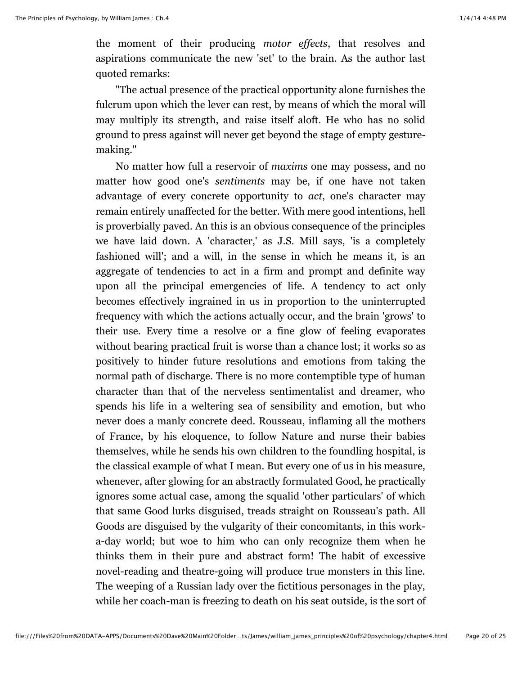the moment of their producing *motor effects*, that resolves and aspirations communicate the new 'set' to the brain. As the author last quoted remarks:

"The actual presence of the practical opportunity alone furnishes the fulcrum upon which the lever can rest, by means of which the moral will may multiply its strength, and raise itself aloft. He who has no solid ground to press against will never get beyond the stage of empty gesturemaking."

No matter how full a reservoir of *maxims* one may possess, and no matter how good one's *sentiments* may be, if one have not taken advantage of every concrete opportunity to *act*, one's character may remain entirely unaffected for the better. With mere good intentions, hell is proverbially paved. An this is an obvious consequence of the principles we have laid down. A 'character,' as J.S. Mill says, 'is a completely fashioned will'; and a will, in the sense in which he means it, is an aggregate of tendencies to act in a firm and prompt and definite way upon all the principal emergencies of life. A tendency to act only becomes effectively ingrained in us in proportion to the uninterrupted frequency with which the actions actually occur, and the brain 'grows' to their use. Every time a resolve or a fine glow of feeling evaporates without bearing practical fruit is worse than a chance lost; it works so as positively to hinder future resolutions and emotions from taking the normal path of discharge. There is no more contemptible type of human character than that of the nerveless sentimentalist and dreamer, who spends his life in a weltering sea of sensibility and emotion, but who never does a manly concrete deed. Rousseau, inflaming all the mothers of France, by his eloquence, to follow Nature and nurse their babies themselves, while he sends his own children to the foundling hospital, is the classical example of what I mean. But every one of us in his measure, whenever, after glowing for an abstractly formulated Good, he practically ignores some actual case, among the squalid 'other particulars' of which that same Good lurks disguised, treads straight on Rousseau's path. All Goods are disguised by the vulgarity of their concomitants, in this worka-day world; but woe to him who can only recognize them when he thinks them in their pure and abstract form! The habit of excessive novel-reading and theatre-going will produce true monsters in this line. The weeping of a Russian lady over the fictitious personages in the play, while her coach-man is freezing to death on his seat outside, is the sort of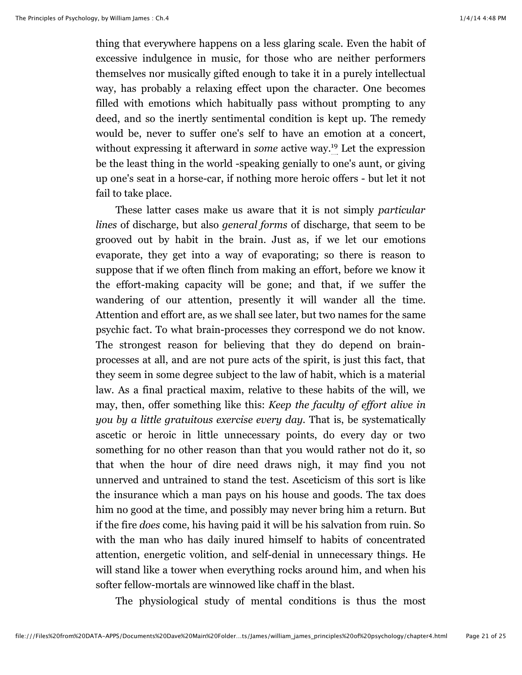thing that everywhere happens on a less glaring scale. Even the habit of excessive indulgence in music, for those who are neither performers themselves nor musically gifted enough to take it in a purely intellectual way, has probably a relaxing effect upon the character. One becomes filled with emotions which habitually pass without prompting to any deed, and so the inertly sentimental condition is kept up. The remedy would be, never to suffer one's self to have an emotion at a concert, without expressing it afterward in *some* active way.<sup>19</sup> Let the expression be the least thing in the world -speaking genially to one's aunt, or giving up one's seat in a horse-car, if nothing more heroic offers - but let it not fail to take place.

These latter cases make us aware that it is not simply *particular lines* of discharge, but also *general forms* of discharge, that seem to be grooved out by habit in the brain. Just as, if we let our emotions evaporate, they get into a way of evaporating; so there is reason to suppose that if we often flinch from making an effort, before we know it the effort-making capacity will be gone; and that, if we suffer the wandering of our attention, presently it will wander all the time. Attention and effort are, as we shall see later, but two names for the same psychic fact. To what brain-processes they correspond we do not know. The strongest reason for believing that they do depend on brainprocesses at all, and are not pure acts of the spirit, is just this fact, that they seem in some degree subject to the law of habit, which is a material law. As a final practical maxim, relative to these habits of the will, we may, then, offer something like this: *Keep the faculty of effort alive in you by a little gratuitous exercise every day*. That is, be systematically ascetic or heroic in little unnecessary points, do every day or two something for no other reason than that you would rather not do it, so that when the hour of dire need draws nigh, it may find you not unnerved and untrained to stand the test. Asceticism of this sort is like the insurance which a man pays on his house and goods. The tax does him no good at the time, and possibly may never bring him a return. But if the fire *does* come, his having paid it will be his salvation from ruin. So with the man who has daily inured himself to habits of concentrated attention, energetic volition, and self-denial in unnecessary things. He will stand like a tower when everything rocks around him, and when his softer fellow-mortals are winnowed like chaff in the blast.

The physiological study of mental conditions is thus the most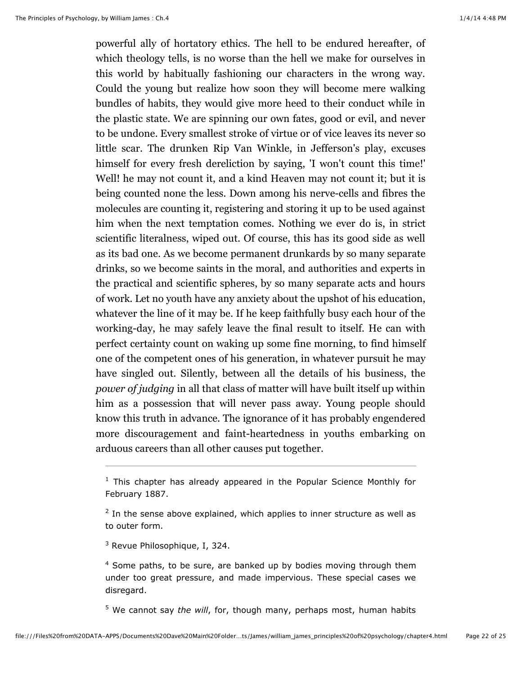powerful ally of hortatory ethics. The hell to be endured hereafter, of which theology tells, is no worse than the hell we make for ourselves in this world by habitually fashioning our characters in the wrong way. Could the young but realize how soon they will become mere walking bundles of habits, they would give more heed to their conduct while in the plastic state. We are spinning our own fates, good or evil, and never to be undone. Every smallest stroke of virtue or of vice leaves its never so little scar. The drunken Rip Van Winkle, in Jefferson's play, excuses himself for every fresh dereliction by saying, 'I won't count this time!' Well! he may not count it, and a kind Heaven may not count it; but it is being counted none the less. Down among his nerve-cells and fibres the molecules are counting it, registering and storing it up to be used against him when the next temptation comes. Nothing we ever do is, in strict scientific literalness, wiped out. Of course, this has its good side as well as its bad one. As we become permanent drunkards by so many separate drinks, so we become saints in the moral, and authorities and experts in the practical and scientific spheres, by so many separate acts and hours of work. Let no youth have any anxiety about the upshot of his education, whatever the line of it may be. If he keep faithfully busy each hour of the working-day, he may safely leave the final result to itself. He can with perfect certainty count on waking up some fine morning, to find himself one of the competent ones of his generation, in whatever pursuit he may have singled out. Silently, between all the details of his business, the *power of judging* in all that class of matter will have built itself up within him as a possession that will never pass away. Young people should know this truth in advance. The ignorance of it has probably engendered more discouragement and faint-heartedness in youths embarking on arduous careers than all other causes put together.

5 We cannot say *the will*, for, though many, perhaps most, human habits

 $1$  This chapter has already appeared in the Popular Science Monthly for February 1887.

 $2$  In the sense above explained, which applies to inner structure as well as to outer form.

<sup>3</sup> Revue Philosophique, I, 324.

<sup>&</sup>lt;sup>4</sup> Some paths, to be sure, are banked up by bodies moving through them under too great pressure, and made impervious. These special cases we disregard.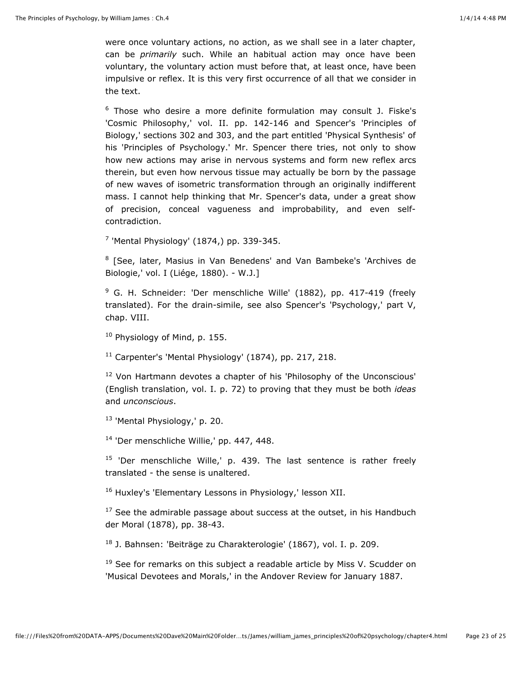were once voluntary actions, no action, as we shall see in a later chapter, can be *primarily* such. While an habitual action may once have been voluntary, the voluntary action must before that, at least once, have been impulsive or reflex. It is this very first occurrence of all that we consider in the text.

6 Those who desire a more definite formulation may consult J. Fiske's 'Cosmic Philosophy,' vol. II. pp. 142-146 and Spencer's 'Principles of Biology,' sections 302 and 303, and the part entitled 'Physical Synthesis' of his 'Principles of Psychology.' Mr. Spencer there tries, not only to show how new actions may arise in nervous systems and form new reflex arcs therein, but even how nervous tissue may actually be born by the passage of new waves of isometric transformation through an originally indifferent mass. I cannot help thinking that Mr. Spencer's data, under a great show of precision, conceal vagueness and improbability, and even selfcontradiction.

 $7$  'Mental Physiology' (1874,) pp. 339-345.

8 [See, later, Masius in Van Benedens' and Van Bambeke's 'Archives de Biologie,' vol. I (Liége, 1880). - W.J.]

 $9$  G. H. Schneider: 'Der menschliche Wille' (1882), pp. 417-419 (freely translated). For the drain-simile, see also Spencer's 'Psychology,' part V, chap. VIII.

 $10$  Physiology of Mind, p. 155.

11 Carpenter's 'Mental Physiology' (1874), pp. 217, 218.

<sup>12</sup> Von Hartmann devotes a chapter of his 'Philosophy of the Unconscious' (English translation, vol. I. p. 72) to proving that they must be both *ideas* and *unconscious*.

13 'Mental Physiology,' p. 20.

<sup>14</sup> 'Der menschliche Willie,' pp. 447, 448.

 $15$  'Der menschliche Wille,' p. 439. The last sentence is rather freely translated - the sense is unaltered.

<sup>16</sup> Huxley's 'Elementary Lessons in Physiology,' lesson XII.

 $17$  See the admirable passage about success at the outset, in his Handbuch der Moral (1878), pp. 38-43.

18 J. Bahnsen: 'Beiträge zu Charakterologie' (1867), vol. I. p. 209.

 $19$  See for remarks on this subject a readable article by Miss V. Scudder on 'Musical Devotees and Morals,' in the Andover Review for January 1887.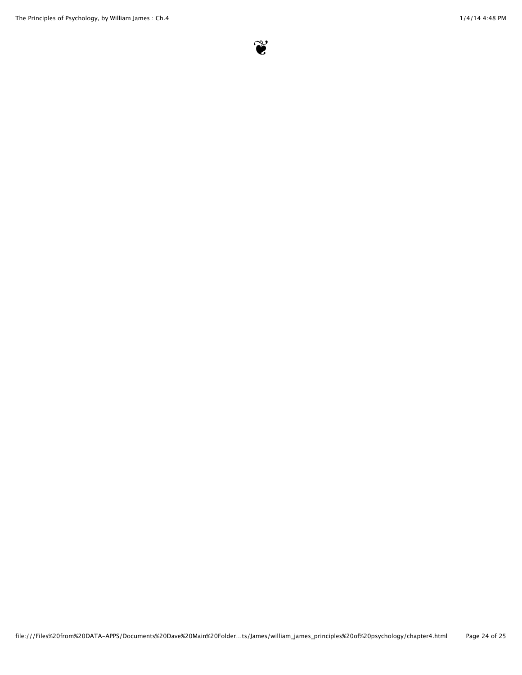